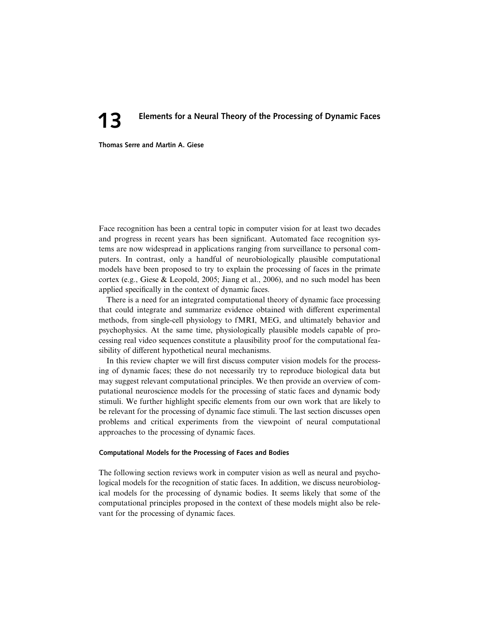# **13** Elements for a Neural Theory of the Processing of Dynamic Faces

Thomas Serre and Martin A. Giese

Face recognition has been a central topic in computer vision for at least two decades and progress in recent years has been significant. Automated face recognition systems are now widespread in applications ranging from surveillance to personal computers. In contrast, only a handful of neurobiologically plausible computational models have been proposed to try to explain the processing of faces in the primate cortex (e.g., Giese & Leopold, 2005; Jiang et al., 2006), and no such model has been applied specifically in the context of dynamic faces.

There is a need for an integrated computational theory of dynamic face processing that could integrate and summarize evidence obtained with different experimental methods, from single-cell physiology to fMRI, MEG, and ultimately behavior and psychophysics. At the same time, physiologically plausible models capable of processing real video sequences constitute a plausibility proof for the computational feasibility of different hypothetical neural mechanisms.

In this review chapter we will first discuss computer vision models for the processing of dynamic faces; these do not necessarily try to reproduce biological data but may suggest relevant computational principles. We then provide an overview of computational neuroscience models for the processing of static faces and dynamic body stimuli. We further highlight specific elements from our own work that are likely to be relevant for the processing of dynamic face stimuli. The last section discusses open problems and critical experiments from the viewpoint of neural computational approaches to the processing of dynamic faces.

# Computational Models for the Processing of Faces and Bodies

The following section reviews work in computer vision as well as neural and psychological models for the recognition of static faces. In addition, we discuss neurobiological models for the processing of dynamic bodies. It seems likely that some of the computational principles proposed in the context of these models might also be relevant for the processing of dynamic faces.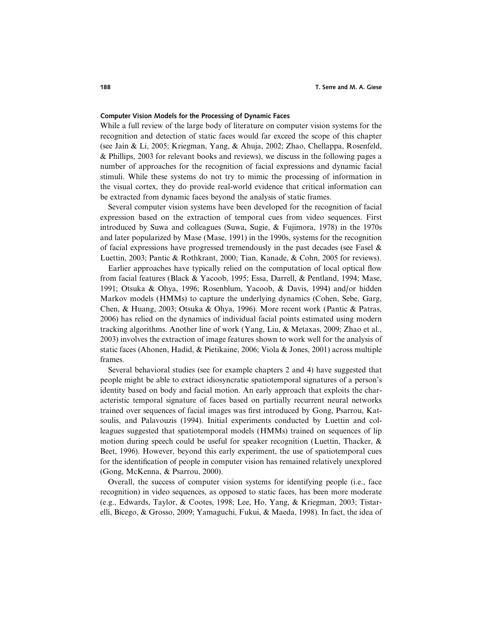# Computer Vision Models for the Processing of Dynamic Faces

While a full review of the large body of literature on computer vision systems for the recognition and detection of static faces would far exceed the scope of this chapter (see Jain & Li, 2005; Kriegman, Yang, & Ahuja, 2002; Zhao, Chellappa, Rosenfeld, & Phillips, 2003 for relevant books and reviews), we discuss in the following pages a number of approaches for the recognition of facial expressions and dynamic facial stimuli. While these systems do not try to mimic the processing of information in the visual cortex, they do provide real-world evidence that critical information can be extracted from dynamic faces beyond the analysis of static frames.

Several computer vision systems have been developed for the recognition of facial expression based on the extraction of temporal cues from video sequences. First introduced by Suwa and colleagues (Suwa, Sugie, & Fujimora, 1978) in the 1970s and later popularized by Mase (Mase, 1991) in the 1990s, systems for the recognition of facial expressions have progressed tremendously in the past decades (see Fasel  $\&$ Luettin, 2003; Pantic & Rothkrant, 2000; Tian, Kanade, & Cohn, 2005 for reviews).

Earlier approaches have typically relied on the computation of local optical flow from facial features (Black & Yacoob, 1995; Essa, Darrell, & Pentland, 1994; Mase, 1991; Otsuka & Ohya, 1996; Rosenblum, Yacoob, & Davis, 1994) and/or hidden Markov models (HMMs) to capture the underlying dynamics (Cohen, Sebe, Garg, Chen, & Huang, 2003; Otsuka & Ohya, 1996). More recent work (Pantic & Patras, 2006) has relied on the dynamics of individual facial points estimated using modern tracking algorithms. Another line of work (Yang, Liu, & Metaxas, 2009; Zhao et al., 2003) involves the extraction of image features shown to work well for the analysis of static faces (Ahonen, Hadid, & Pietikaine, 2006; Viola & Jones, 2001) across multiple frames.

Several behavioral studies (see for example chapters 2 and 4) have suggested that people might be able to extract idiosyncratic spatiotemporal signatures of a person's identity based on body and facial motion. An early approach that exploits the characteristic temporal signature of faces based on partially recurrent neural networks trained over sequences of facial images was first introduced by Gong, Psarrou, Katsoulis, and Palavouzis (1994). Initial experiments conducted by Luettin and colleagues suggested that spatiotemporal models (HMMs) trained on sequences of lip motion during speech could be useful for speaker recognition (Luettin, Thacker, & Beet, 1996). However, beyond this early experiment, the use of spatiotemporal cues for the identification of people in computer vision has remained relatively unexplored (Gong, McKenna, & Psarrou, 2000).

Overall, the success of computer vision systems for identifying people (i.e., face recognition) in video sequences, as opposed to static faces, has been more moderate (e.g., Edwards, Taylor, & Cootes, 1998; Lee, Ho, Yang, & Kriegman, 2003; Tistarelli, Bicego, & Grosso, 2009; Yamaguchi, Fukui, & Maeda, 1998). In fact, the idea of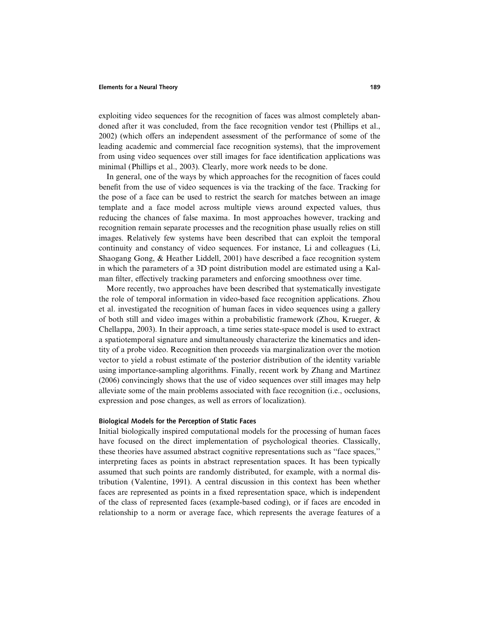exploiting video sequences for the recognition of faces was almost completely abandoned after it was concluded, from the face recognition vendor test (Phillips et al., 2002) (which offers an independent assessment of the performance of some of the leading academic and commercial face recognition systems), that the improvement from using video sequences over still images for face identification applications was minimal (Phillips et al., 2003). Clearly, more work needs to be done.

In general, one of the ways by which approaches for the recognition of faces could benefit from the use of video sequences is via the tracking of the face. Tracking for the pose of a face can be used to restrict the search for matches between an image template and a face model across multiple views around expected values, thus reducing the chances of false maxima. In most approaches however, tracking and recognition remain separate processes and the recognition phase usually relies on still images. Relatively few systems have been described that can exploit the temporal continuity and constancy of video sequences. For instance, Li and colleagues (Li, Shaogang Gong, & Heather Liddell, 2001) have described a face recognition system in which the parameters of a 3D point distribution model are estimated using a Kalman filter, effectively tracking parameters and enforcing smoothness over time.

More recently, two approaches have been described that systematically investigate the role of temporal information in video-based face recognition applications. Zhou et al. investigated the recognition of human faces in video sequences using a gallery of both still and video images within a probabilistic framework (Zhou, Krueger, & Chellappa, 2003). In their approach, a time series state-space model is used to extract a spatiotemporal signature and simultaneously characterize the kinematics and identity of a probe video. Recognition then proceeds via marginalization over the motion vector to yield a robust estimate of the posterior distribution of the identity variable using importance-sampling algorithms. Finally, recent work by Zhang and Martinez (2006) convincingly shows that the use of video sequences over still images may help alleviate some of the main problems associated with face recognition (i.e., occlusions, expression and pose changes, as well as errors of localization).

# Biological Models for the Perception of Static Faces

Initial biologically inspired computational models for the processing of human faces have focused on the direct implementation of psychological theories. Classically, these theories have assumed abstract cognitive representations such as ''face spaces,'' interpreting faces as points in abstract representation spaces. It has been typically assumed that such points are randomly distributed, for example, with a normal distribution (Valentine, 1991). A central discussion in this context has been whether faces are represented as points in a fixed representation space, which is independent of the class of represented faces (example-based coding), or if faces are encoded in relationship to a norm or average face, which represents the average features of a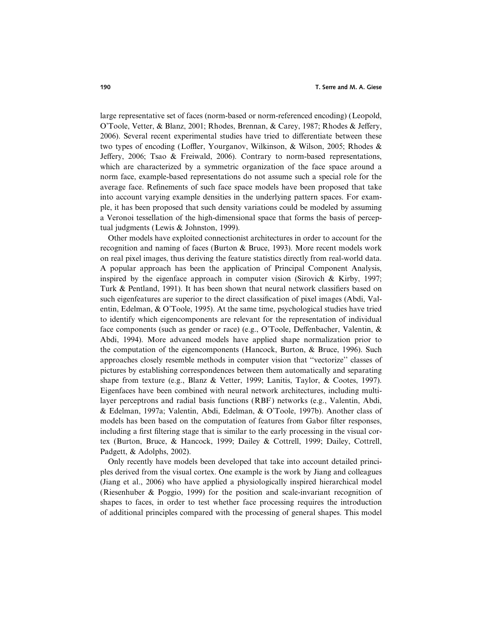large representative set of faces (norm-based or norm-referenced encoding) (Leopold, O'Toole, Vetter, & Blanz, 2001; Rhodes, Brennan, & Carey, 1987; Rhodes & Jeffery, 2006). Several recent experimental studies have tried to differentiate between these two types of encoding (Loffler, Yourganov, Wilkinson, & Wilson, 2005; Rhodes & Jeffery, 2006; Tsao  $\&$  Freiwald, 2006). Contrary to norm-based representations, which are characterized by a symmetric organization of the face space around a norm face, example-based representations do not assume such a special role for the average face. Refinements of such face space models have been proposed that take into account varying example densities in the underlying pattern spaces. For example, it has been proposed that such density variations could be modeled by assuming a Veronoi tessellation of the high-dimensional space that forms the basis of perceptual judgments (Lewis & Johnston, 1999).

Other models have exploited connectionist architectures in order to account for the recognition and naming of faces (Burton & Bruce, 1993). More recent models work on real pixel images, thus deriving the feature statistics directly from real-world data. A popular approach has been the application of Principal Component Analysis, inspired by the eigenface approach in computer vision (Sirovich & Kirby, 1997; Turk & Pentland, 1991). It has been shown that neural network classifiers based on such eigenfeatures are superior to the direct classification of pixel images (Abdi, Valentin, Edelman, & O'Toole, 1995). At the same time, psychological studies have tried to identify which eigencomponents are relevant for the representation of individual face components (such as gender or race) (e.g., O'Toole, Deffenbacher, Valentin,  $\&$ Abdi, 1994). More advanced models have applied shape normalization prior to the computation of the eigencomponents (Hancock, Burton, & Bruce, 1996). Such approaches closely resemble methods in computer vision that ''vectorize'' classes of pictures by establishing correspondences between them automatically and separating shape from texture (e.g., Blanz & Vetter, 1999; Lanitis, Taylor, & Cootes, 1997). Eigenfaces have been combined with neural network architectures, including multilayer perceptrons and radial basis functions (RBF ) networks (e.g., Valentin, Abdi, & Edelman, 1997a; Valentin, Abdi, Edelman, & O'Toole, 1997b). Another class of models has been based on the computation of features from Gabor filter responses, including a first filtering stage that is similar to the early processing in the visual cortex (Burton, Bruce, & Hancock, 1999; Dailey & Cottrell, 1999; Dailey, Cottrell, Padgett, & Adolphs, 2002).

Only recently have models been developed that take into account detailed principles derived from the visual cortex. One example is the work by Jiang and colleagues (Jiang et al., 2006) who have applied a physiologically inspired hierarchical model (Riesenhuber & Poggio, 1999) for the position and scale-invariant recognition of shapes to faces, in order to test whether face processing requires the introduction of additional principles compared with the processing of general shapes. This model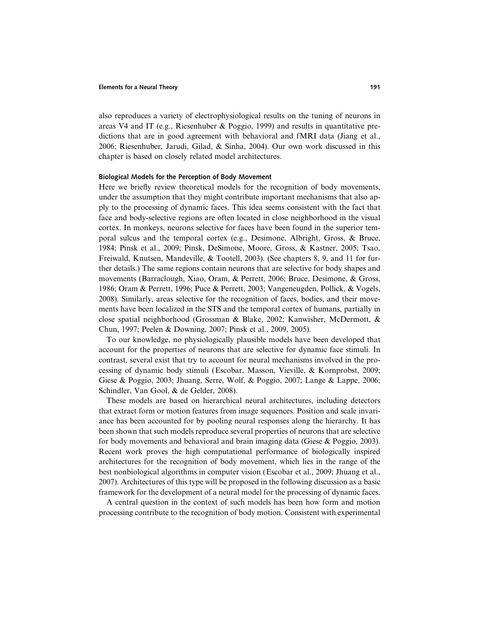also reproduces a variety of electrophysiological results on the tuning of neurons in areas V4 and IT (e.g., Riesenhuber & Poggio, 1999) and results in quantitative predictions that are in good agreement with behavioral and fMRI data (Jiang et al., 2006; Riesenhuber, Jarudi, Gilad, & Sinha, 2004). Our own work discussed in this chapter is based on closely related model architectures.

# Biological Models for the Perception of Body Movement

Here we briefly review theoretical models for the recognition of body movements, under the assumption that they might contribute important mechanisms that also apply to the processing of dynamic faces. This idea seems consistent with the fact that face and body-selective regions are often located in close neighborhood in the visual cortex. In monkeys, neurons selective for faces have been found in the superior temporal sulcus and the temporal cortex (e.g., Desimone, Albright, Gross, & Bruce, 1984; Pinsk et al., 2009; Pinsk, DeSimone, Moore, Gross, & Kastner, 2005; Tsao, Freiwald, Knutsen, Mandeville, & Tootell, 2003). (See chapters 8, 9, and 11 for further details.) The same regions contain neurons that are selective for body shapes and movements (Barraclough, Xiao, Oram, & Perrett, 2006; Bruce, Desimone, & Gross, 1986; Oram & Perrett, 1996; Puce & Perrett, 2003; Vangeneugden, Pollick, & Vogels, 2008). Similarly, areas selective for the recognition of faces, bodies, and their movements have been localized in the STS and the temporal cortex of humans, partially in close spatial neighborhood (Grossman & Blake, 2002; Kanwisher, McDermott, & Chun, 1997; Peelen & Downing, 2007; Pinsk et al., 2009, 2005).

To our knowledge, no physiologically plausible models have been developed that account for the properties of neurons that are selective for dynamic face stimuli. In contrast, several exist that try to account for neural mechanisms involved in the processing of dynamic body stimuli (Escobar, Masson, Vieville, & Kornprobst, 2009; Giese & Poggio, 2003; Jhuang, Serre, Wolf, & Poggio, 2007; Lange & Lappe, 2006; Schindler, Van Gool, & de Gelder, 2008).

These models are based on hierarchical neural architectures, including detectors that extract form or motion features from image sequences. Position and scale invariance has been accounted for by pooling neural responses along the hierarchy. It has been shown that such models reproduce several properties of neurons that are selective for body movements and behavioral and brain imaging data (Giese & Poggio, 2003). Recent work proves the high computational performance of biologically inspired architectures for the recognition of body movement, which lies in the range of the best nonbiological algorithms in computer vision (Escobar et al., 2009; Jhuang et al., 2007). Architectures of this type will be proposed in the following discussion as a basic framework for the development of a neural model for the processing of dynamic faces.

A central question in the context of such models has been how form and motion processing contribute to the recognition of body motion. Consistent with experimental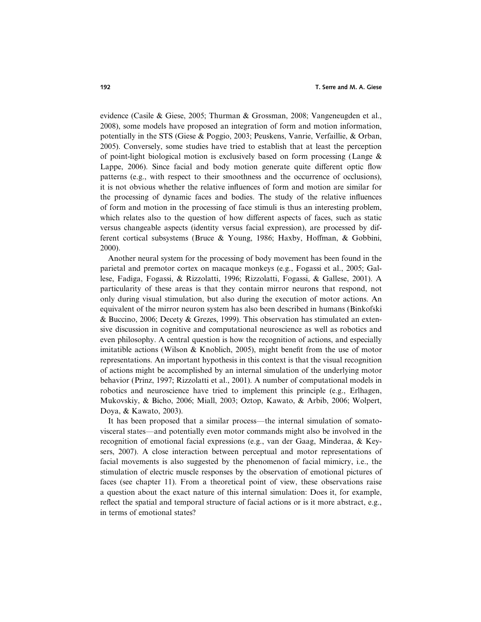evidence (Casile & Giese, 2005; Thurman & Grossman, 2008; Vangeneugden et al., 2008), some models have proposed an integration of form and motion information, potentially in the STS (Giese & Poggio, 2003; Peuskens, Vanrie, Verfaillie, & Orban, 2005). Conversely, some studies have tried to establish that at least the perception of point-light biological motion is exclusively based on form processing (Lange & Lappe, 2006). Since facial and body motion generate quite different optic flow patterns (e.g., with respect to their smoothness and the occurrence of occlusions), it is not obvious whether the relative influences of form and motion are similar for the processing of dynamic faces and bodies. The study of the relative influences of form and motion in the processing of face stimuli is thus an interesting problem, which relates also to the question of how different aspects of faces, such as static versus changeable aspects (identity versus facial expression), are processed by different cortical subsystems (Bruce & Young, 1986; Haxby, Hoffman,  $\&$  Gobbini, 2000).

Another neural system for the processing of body movement has been found in the parietal and premotor cortex on macaque monkeys (e.g., Fogassi et al., 2005; Gallese, Fadiga, Fogassi, & Rizzolatti, 1996; Rizzolatti, Fogassi, & Gallese, 2001). A particularity of these areas is that they contain mirror neurons that respond, not only during visual stimulation, but also during the execution of motor actions. An equivalent of the mirror neuron system has also been described in humans (Binkofski & Buccino, 2006; Decety & Grezes, 1999). This observation has stimulated an extensive discussion in cognitive and computational neuroscience as well as robotics and even philosophy. A central question is how the recognition of actions, and especially imitatible actions (Wilson & Knoblich, 2005), might benefit from the use of motor representations. An important hypothesis in this context is that the visual recognition of actions might be accomplished by an internal simulation of the underlying motor behavior (Prinz, 1997; Rizzolatti et al., 2001). A number of computational models in robotics and neuroscience have tried to implement this principle (e.g., Erlhagen, Mukovskiy, & Bicho, 2006; Miall, 2003; Oztop, Kawato, & Arbib, 2006; Wolpert, Doya, & Kawato, 2003).

It has been proposed that a similar process—the internal simulation of somatovisceral states—and potentially even motor commands might also be involved in the recognition of emotional facial expressions (e.g., van der Gaag, Minderaa, & Keysers, 2007). A close interaction between perceptual and motor representations of facial movements is also suggested by the phenomenon of facial mimicry, i.e., the stimulation of electric muscle responses by the observation of emotional pictures of faces (see chapter 11). From a theoretical point of view, these observations raise a question about the exact nature of this internal simulation: Does it, for example, reflect the spatial and temporal structure of facial actions or is it more abstract, e.g., in terms of emotional states?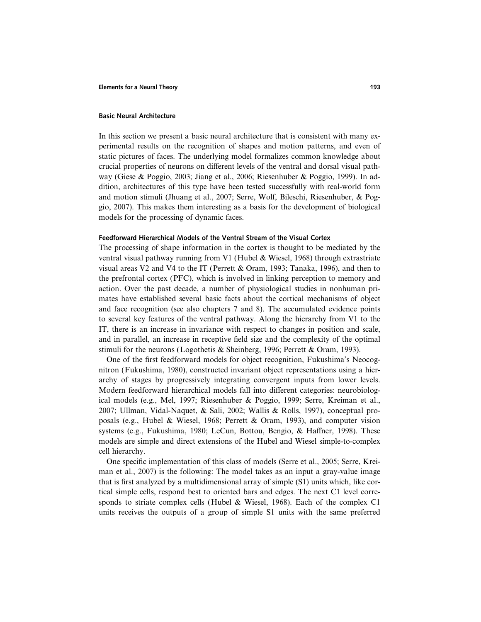# Basic Neural Architecture

In this section we present a basic neural architecture that is consistent with many experimental results on the recognition of shapes and motion patterns, and even of static pictures of faces. The underlying model formalizes common knowledge about crucial properties of neurons on different levels of the ventral and dorsal visual pathway (Giese & Poggio, 2003; Jiang et al., 2006; Riesenhuber & Poggio, 1999). In addition, architectures of this type have been tested successfully with real-world form and motion stimuli (Jhuang et al., 2007; Serre, Wolf, Bileschi, Riesenhuber, & Poggio, 2007). This makes them interesting as a basis for the development of biological models for the processing of dynamic faces.

# Feedforward Hierarchical Models of the Ventral Stream of the Visual Cortex

The processing of shape information in the cortex is thought to be mediated by the ventral visual pathway running from V1 (Hubel & Wiesel, 1968) through extrastriate visual areas V2 and V4 to the IT (Perrett & Oram, 1993; Tanaka, 1996), and then to the prefrontal cortex (PFC), which is involved in linking perception to memory and action. Over the past decade, a number of physiological studies in nonhuman primates have established several basic facts about the cortical mechanisms of object and face recognition (see also chapters 7 and 8). The accumulated evidence points to several key features of the ventral pathway. Along the hierarchy from V1 to the IT, there is an increase in invariance with respect to changes in position and scale, and in parallel, an increase in receptive field size and the complexity of the optimal stimuli for the neurons (Logothetis & Sheinberg, 1996; Perrett & Oram, 1993).

One of the first feedforward models for object recognition, Fukushima's Neocognitron (Fukushima, 1980), constructed invariant object representations using a hierarchy of stages by progressively integrating convergent inputs from lower levels. Modern feedforward hierarchical models fall into different categories: neurobiological models (e.g., Mel, 1997; Riesenhuber & Poggio, 1999; Serre, Kreiman et al., 2007; Ullman, Vidal-Naquet, & Sali, 2002; Wallis & Rolls, 1997), conceptual proposals (e.g., Hubel & Wiesel, 1968; Perrett & Oram, 1993), and computer vision systems (e.g., Fukushima, 1980; LeCun, Bottou, Bengio,  $\&$  Haffner, 1998). These models are simple and direct extensions of the Hubel and Wiesel simple-to-complex cell hierarchy.

One specific implementation of this class of models (Serre et al., 2005; Serre, Kreiman et al., 2007) is the following: The model takes as an input a gray-value image that is first analyzed by a multidimensional array of simple (S1) units which, like cortical simple cells, respond best to oriented bars and edges. The next C1 level corresponds to striate complex cells (Hubel & Wiesel, 1968). Each of the complex C1 units receives the outputs of a group of simple S1 units with the same preferred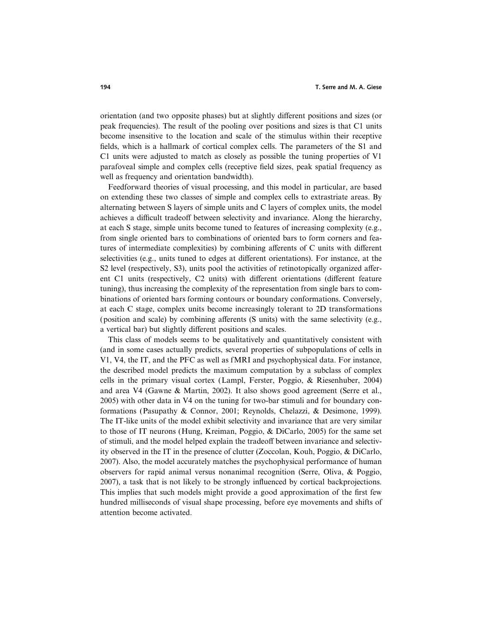orientation (and two opposite phases) but at slightly different positions and sizes (or peak frequencies). The result of the pooling over positions and sizes is that C1 units become insensitive to the location and scale of the stimulus within their receptive fields, which is a hallmark of cortical complex cells. The parameters of the S1 and C1 units were adjusted to match as closely as possible the tuning properties of V1 parafoveal simple and complex cells (receptive field sizes, peak spatial frequency as well as frequency and orientation bandwidth).

Feedforward theories of visual processing, and this model in particular, are based on extending these two classes of simple and complex cells to extrastriate areas. By alternating between S layers of simple units and C layers of complex units, the model achieves a difficult tradeoff between selectivity and invariance. Along the hierarchy, at each S stage, simple units become tuned to features of increasing complexity (e.g., from single oriented bars to combinations of oriented bars to form corners and features of intermediate complexities) by combining afferents of C units with different selectivities (e.g., units tuned to edges at different orientations). For instance, at the S2 level (respectively, S3), units pool the activities of retinotopically organized afferent C1 units (respectively, C2 units) with different orientations (different feature tuning), thus increasing the complexity of the representation from single bars to combinations of oriented bars forming contours or boundary conformations. Conversely, at each C stage, complex units become increasingly tolerant to 2D transformations (position and scale) by combining afferents  $(S \text{ units})$  with the same selectivity (e.g., a vertical bar) but slightly different positions and scales.

This class of models seems to be qualitatively and quantitatively consistent with (and in some cases actually predicts, several properties of subpopulations of cells in V1, V4, the IT, and the PFC as well as fMRI and psychophysical data. For instance, the described model predicts the maximum computation by a subclass of complex cells in the primary visual cortex (Lampl, Ferster, Poggio, & Riesenhuber, 2004) and area V4 (Gawne & Martin, 2002). It also shows good agreement (Serre et al., 2005) with other data in V4 on the tuning for two-bar stimuli and for boundary conformations (Pasupathy & Connor, 2001; Reynolds, Chelazzi, & Desimone, 1999). The IT-like units of the model exhibit selectivity and invariance that are very similar to those of IT neurons (Hung, Kreiman, Poggio, & DiCarlo, 2005) for the same set of stimuli, and the model helped explain the tradeoff between invariance and selectivity observed in the IT in the presence of clutter (Zoccolan, Kouh, Poggio, & DiCarlo, 2007). Also, the model accurately matches the psychophysical performance of human observers for rapid animal versus nonanimal recognition (Serre, Oliva, & Poggio, 2007), a task that is not likely to be strongly influenced by cortical backprojections. This implies that such models might provide a good approximation of the first few hundred milliseconds of visual shape processing, before eye movements and shifts of attention become activated.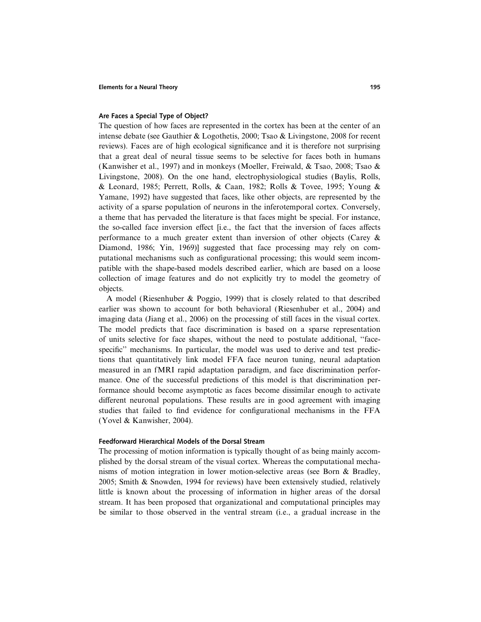# Are Faces a Special Type of Object?

The question of how faces are represented in the cortex has been at the center of an intense debate (see Gauthier & Logothetis, 2000; Tsao & Livingstone, 2008 for recent reviews). Faces are of high ecological significance and it is therefore not surprising that a great deal of neural tissue seems to be selective for faces both in humans (Kanwisher et al., 1997) and in monkeys (Moeller, Freiwald, & Tsao, 2008; Tsao & Livingstone, 2008). On the one hand, electrophysiological studies (Baylis, Rolls, & Leonard, 1985; Perrett, Rolls, & Caan, 1982; Rolls & Tovee, 1995; Young & Yamane, 1992) have suggested that faces, like other objects, are represented by the activity of a sparse population of neurons in the inferotemporal cortex. Conversely, a theme that has pervaded the literature is that faces might be special. For instance, the so-called face inversion effect [i.e., the fact that the inversion of faces affects performance to a much greater extent than inversion of other objects (Carey & Diamond, 1986; Yin, 1969)] suggested that face processing may rely on computational mechanisms such as configurational processing; this would seem incompatible with the shape-based models described earlier, which are based on a loose collection of image features and do not explicitly try to model the geometry of objects.

A model (Riesenhuber & Poggio, 1999) that is closely related to that described earlier was shown to account for both behavioral (Riesenhuber et al., 2004) and imaging data (Jiang et al., 2006) on the processing of still faces in the visual cortex. The model predicts that face discrimination is based on a sparse representation of units selective for face shapes, without the need to postulate additional, ''facespecific'' mechanisms. In particular, the model was used to derive and test predictions that quantitatively link model FFA face neuron tuning, neural adaptation measured in an fMRI rapid adaptation paradigm, and face discrimination performance. One of the successful predictions of this model is that discrimination performance should become asymptotic as faces become dissimilar enough to activate different neuronal populations. These results are in good agreement with imaging studies that failed to find evidence for configurational mechanisms in the FFA (Yovel & Kanwisher, 2004).

# Feedforward Hierarchical Models of the Dorsal Stream

The processing of motion information is typically thought of as being mainly accomplished by the dorsal stream of the visual cortex. Whereas the computational mechanisms of motion integration in lower motion-selective areas (see Born & Bradley, 2005; Smith & Snowden, 1994 for reviews) have been extensively studied, relatively little is known about the processing of information in higher areas of the dorsal stream. It has been proposed that organizational and computational principles may be similar to those observed in the ventral stream (i.e., a gradual increase in the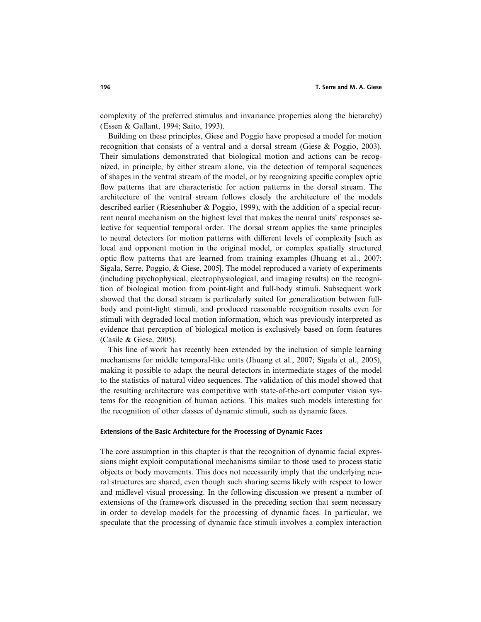complexity of the preferred stimulus and invariance properties along the hierarchy) (Essen & Gallant, 1994; Saito, 1993).

Building on these principles, Giese and Poggio have proposed a model for motion recognition that consists of a ventral and a dorsal stream (Giese & Poggio, 2003). Their simulations demonstrated that biological motion and actions can be recognized, in principle, by either stream alone, via the detection of temporal sequences of shapes in the ventral stream of the model, or by recognizing specific complex optic flow patterns that are characteristic for action patterns in the dorsal stream. The architecture of the ventral stream follows closely the architecture of the models described earlier (Riesenhuber & Poggio, 1999), with the addition of a special recurrent neural mechanism on the highest level that makes the neural units' responses selective for sequential temporal order. The dorsal stream applies the same principles to neural detectors for motion patterns with different levels of complexity [such as local and opponent motion in the original model, or complex spatially structured optic flow patterns that are learned from training examples (Jhuang et al., 2007; Sigala, Serre, Poggio, & Giese, 2005]. The model reproduced a variety of experiments (including psychophysical, electrophysiological, and imaging results) on the recognition of biological motion from point-light and full-body stimuli. Subsequent work showed that the dorsal stream is particularly suited for generalization between fullbody and point-light stimuli, and produced reasonable recognition results even for stimuli with degraded local motion information, which was previously interpreted as evidence that perception of biological motion is exclusively based on form features (Casile & Giese, 2005).

This line of work has recently been extended by the inclusion of simple learning mechanisms for middle temporal-like units (Jhuang et al., 2007; Sigala et al., 2005), making it possible to adapt the neural detectors in intermediate stages of the model to the statistics of natural video sequences. The validation of this model showed that the resulting architecture was competitive with state-of-the-art computer vision systems for the recognition of human actions. This makes such models interesting for the recognition of other classes of dynamic stimuli, such as dynamic faces.

# Extensions of the Basic Architecture for the Processing of Dynamic Faces

The core assumption in this chapter is that the recognition of dynamic facial expressions might exploit computational mechanisms similar to those used to process static objects or body movements. This does not necessarily imply that the underlying neural structures are shared, even though such sharing seems likely with respect to lower and midlevel visual processing. In the following discussion we present a number of extensions of the framework discussed in the preceding section that seem necessary in order to develop models for the processing of dynamic faces. In particular, we speculate that the processing of dynamic face stimuli involves a complex interaction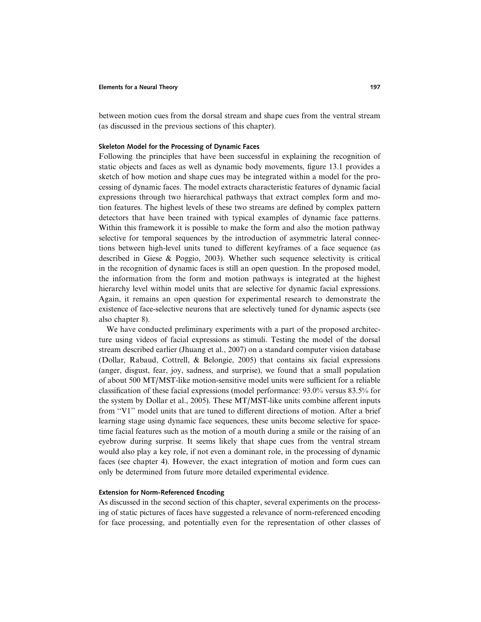between motion cues from the dorsal stream and shape cues from the ventral stream (as discussed in the previous sections of this chapter).

## Skeleton Model for the Processing of Dynamic Faces

Following the principles that have been successful in explaining the recognition of static objects and faces as well as dynamic body movements, figure 13.1 provides a sketch of how motion and shape cues may be integrated within a model for the processing of dynamic faces. The model extracts characteristic features of dynamic facial expressions through two hierarchical pathways that extract complex form and motion features. The highest levels of these two streams are defined by complex pattern detectors that have been trained with typical examples of dynamic face patterns. Within this framework it is possible to make the form and also the motion pathway selective for temporal sequences by the introduction of asymmetric lateral connections between high-level units tuned to different keyframes of a face sequence (as described in Giese & Poggio, 2003). Whether such sequence selectivity is critical in the recognition of dynamic faces is still an open question. In the proposed model, the information from the form and motion pathways is integrated at the highest hierarchy level within model units that are selective for dynamic facial expressions. Again, it remains an open question for experimental research to demonstrate the existence of face-selective neurons that are selectively tuned for dynamic aspects (see also chapter 8).

We have conducted preliminary experiments with a part of the proposed architecture using videos of facial expressions as stimuli. Testing the model of the dorsal stream described earlier (Jhuang et al., 2007) on a standard computer vision database (Dollar, Rabaud, Cottrell, & Belongie, 2005) that contains six facial expressions (anger, disgust, fear, joy, sadness, and surprise), we found that a small population of about 500 MT/MST-like motion-sensitive model units were sufficient for a reliable classification of these facial expressions (model performance: 93.0% versus 83.5% for the system by Dollar et al., 2005). These MT/MST-like units combine afferent inputs from "V1" model units that are tuned to different directions of motion. After a brief learning stage using dynamic face sequences, these units become selective for spacetime facial features such as the motion of a mouth during a smile or the raising of an eyebrow during surprise. It seems likely that shape cues from the ventral stream would also play a key role, if not even a dominant role, in the processing of dynamic faces (see chapter 4). However, the exact integration of motion and form cues can only be determined from future more detailed experimental evidence.

# Extension for Norm-Referenced Encoding

As discussed in the second section of this chapter, several experiments on the processing of static pictures of faces have suggested a relevance of norm-referenced encoding for face processing, and potentially even for the representation of other classes of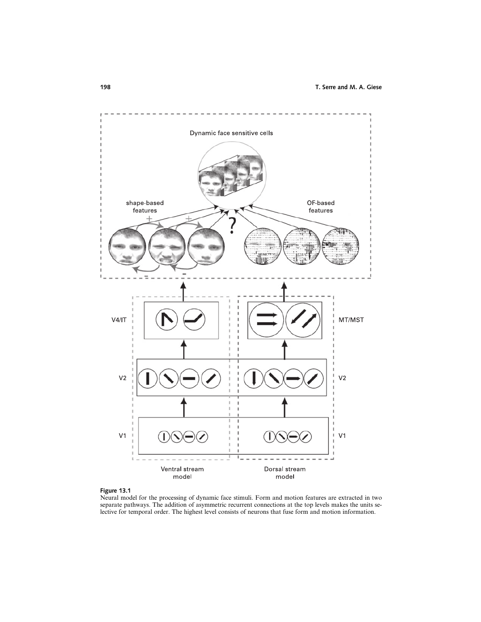

# Figure 13.1

Neural model for the processing of dynamic face stimuli. Form and motion features are extracted in two separate pathways. The addition of asymmetric recurrent connections at the top levels makes the units selective for temporal order. The highest level consists of neurons that fuse form and motion information.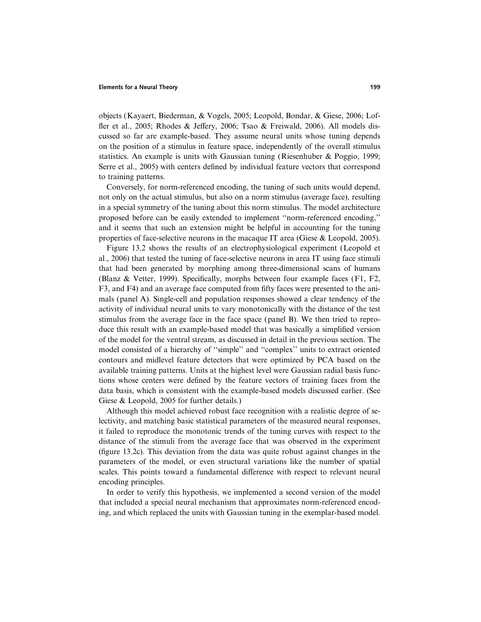objects (Kayaert, Biederman, & Vogels, 2005; Leopold, Bondar, & Giese, 2006; Loffler et al., 2005; Rhodes & Jeffery, 2006; Tsao & Freiwald, 2006). All models discussed so far are example-based. They assume neural units whose tuning depends on the position of a stimulus in feature space, independently of the overall stimulus statistics. An example is units with Gaussian tuning (Riesenhuber & Poggio, 1999; Serre et al., 2005) with centers defined by individual feature vectors that correspond to training patterns.

Conversely, for norm-referenced encoding, the tuning of such units would depend, not only on the actual stimulus, but also on a norm stimulus (average face), resulting in a special symmetry of the tuning about this norm stimulus. The model architecture proposed before can be easily extended to implement ''norm-referenced encoding,'' and it seems that such an extension might be helpful in accounting for the tuning properties of face-selective neurons in the macaque IT area (Giese & Leopold, 2005).

Figure 13.2 shows the results of an electrophysiological experiment (Leopold et al., 2006) that tested the tuning of face-selective neurons in area IT using face stimuli that had been generated by morphing among three-dimensional scans of humans (Blanz & Vetter, 1999). Specifically, morphs between four example faces (F1, F2, F3, and F4) and an average face computed from fifty faces were presented to the animals (panel A). Single-cell and population responses showed a clear tendency of the activity of individual neural units to vary monotonically with the distance of the test stimulus from the average face in the face space (panel B). We then tried to reproduce this result with an example-based model that was basically a simplified version of the model for the ventral stream, as discussed in detail in the previous section. The model consisted of a hierarchy of ''simple'' and ''complex'' units to extract oriented contours and midlevel feature detectors that were optimized by PCA based on the available training patterns. Units at the highest level were Gaussian radial basis functions whose centers were defined by the feature vectors of training faces from the data basis, which is consistent with the example-based models discussed earlier. (See Giese & Leopold, 2005 for further details.)

Although this model achieved robust face recognition with a realistic degree of selectivity, and matching basic statistical parameters of the measured neural responses, it failed to reproduce the monotonic trends of the tuning curves with respect to the distance of the stimuli from the average face that was observed in the experiment (figure 13.2c). This deviation from the data was quite robust against changes in the parameters of the model, or even structural variations like the number of spatial scales. This points toward a fundamental difference with respect to relevant neural encoding principles.

In order to verify this hypothesis, we implemented a second version of the model that included a special neural mechanism that approximates norm-referenced encoding, and which replaced the units with Gaussian tuning in the exemplar-based model.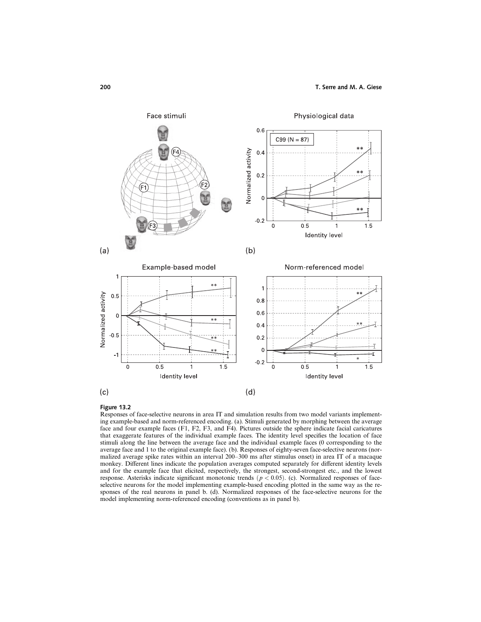

# Figure 13.2

Responses of face-selective neurons in area IT and simulation results from two model variants implementing example-based and norm-referenced encoding. (a). Stimuli generated by morphing between the average face and four example faces (F1, F2, F3, and F4). Pictures outside the sphere indicate facial caricatures that exaggerate features of the individual example faces. The identity level specifies the location of face stimuli along the line between the average face and the individual example faces (0 corresponding to the average face and 1 to the original example face). (b). Responses of eighty-seven face-selective neurons (normalized average spike rates within an interval 200–300 ms after stimulus onset) in area IT of a macaque monkey. Different lines indicate the population averages computed separately for different identity levels and for the example face that elicited, respectively, the strongest, second-strongest etc., and the lowest response. Asterisks indicate significant monotonic trends  $(p < 0.05)$ . (c). Normalized responses of faceselective neurons for the model implementing example-based encoding plotted in the same way as the responses of the real neurons in panel b. (d). Normalized responses of the face-selective neurons for the model implementing norm-referenced encoding (conventions as in panel b).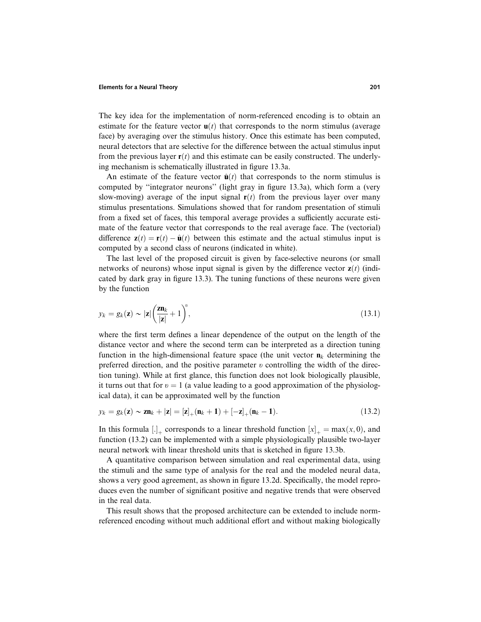The key idea for the implementation of norm-referenced encoding is to obtain an estimate for the feature vector  $\mathbf{u}(t)$  that corresponds to the norm stimulus (average face) by averaging over the stimulus history. Once this estimate has been computed, neural detectors that are selective for the difference between the actual stimulus input from the previous layer  $r(t)$  and this estimate can be easily constructed. The underlying mechanism is schematically illustrated in figure 13.3a.

An estimate of the feature vector  $\hat{\mathbf{u}}(t)$  that corresponds to the norm stimulus is computed by ''integrator neurons'' (light gray in figure 13.3a), which form a (very slow-moving) average of the input signal  $r(t)$  from the previous layer over many stimulus presentations. Simulations showed that for random presentation of stimuli from a fixed set of faces, this temporal average provides a sufficiently accurate estimate of the feature vector that corresponds to the real average face. The (vectorial) difference  $\mathbf{z}(t) = \mathbf{r}(t) - \hat{\mathbf{u}}(t)$  between this estimate and the actual stimulus input is computed by a second class of neurons (indicated in white).

The last level of the proposed circuit is given by face-selective neurons (or small networks of neurons) whose input signal is given by the difference vector  $z(t)$  (indicated by dark gray in figure 13.3). The tuning functions of these neurons were given by the function

$$
y_k = g_k(\mathbf{z}) \sim |\mathbf{z}| \left(\frac{\mathbf{z} \mathbf{n}_k}{|\mathbf{z}|} + 1\right)^v, \tag{13.1}
$$

where the first term defines a linear dependence of the output on the length of the distance vector and where the second term can be interpreted as a direction tuning function in the high-dimensional feature space (the unit vector  $\mathbf{n}_k$  determining the preferred direction, and the positive parameter  $v$  controlling the width of the direction tuning). While at first glance, this function does not look biologically plausible, it turns out that for  $v = 1$  (a value leading to a good approximation of the physiological data), it can be approximated well by the function

$$
y_k = g_k(\mathbf{z}) \sim \mathbf{z} \mathbf{n}_k + |\mathbf{z}| = [\mathbf{z}]_+(\mathbf{n}_k + 1) + [-\mathbf{z}]_+(\mathbf{n}_k - 1).
$$
 (13.2)

In this formula  $[.]_+$  corresponds to a linear threshold function  $[x]_+ = \max(x, 0)$ , and function (13.2) can be implemented with a simple physiologically plausible two-layer neural network with linear threshold units that is sketched in figure 13.3b.

A quantitative comparison between simulation and real experimental data, using the stimuli and the same type of analysis for the real and the modeled neural data, shows a very good agreement, as shown in figure 13.2d. Specifically, the model reproduces even the number of significant positive and negative trends that were observed in the real data.

This result shows that the proposed architecture can be extended to include normreferenced encoding without much additional effort and without making biologically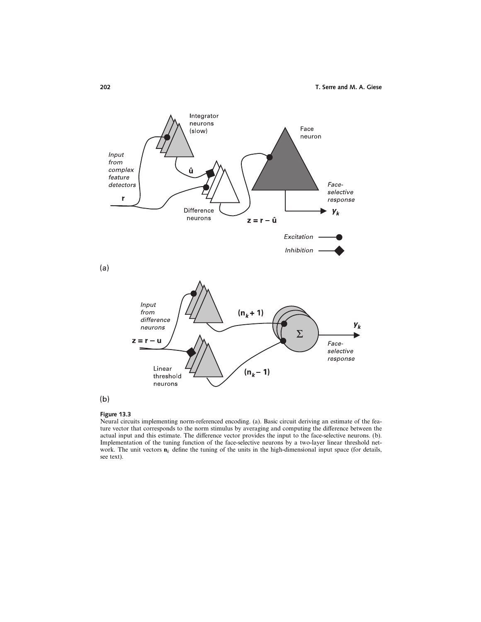

## Figure 13.3

Neural circuits implementing norm-referenced encoding. (a). Basic circuit deriving an estimate of the feature vector that corresponds to the norm stimulus by averaging and computing the difference between the actual input and this estimate. The difference vector provides the input to the face-selective neurons. (b). Implementation of the tuning function of the face-selective neurons by a two-layer linear threshold network. The unit vectors  $\mathbf{n}_k$  define the tuning of the units in the high-dimensional input space (for details, see text).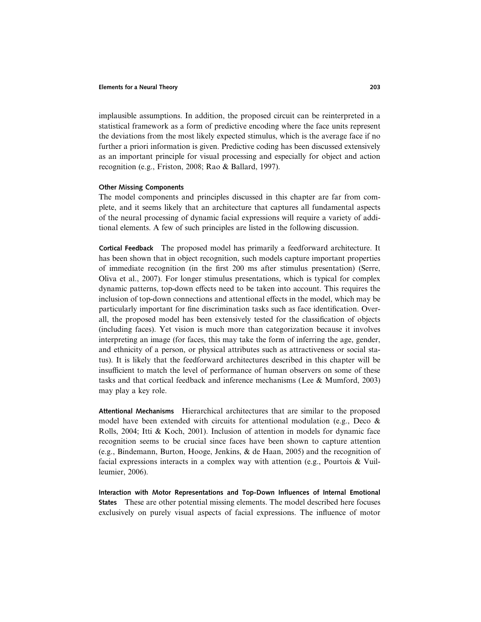implausible assumptions. In addition, the proposed circuit can be reinterpreted in a statistical framework as a form of predictive encoding where the face units represent the deviations from the most likely expected stimulus, which is the average face if no further a priori information is given. Predictive coding has been discussed extensively as an important principle for visual processing and especially for object and action recognition (e.g., Friston, 2008; Rao & Ballard, 1997).

# Other Missing Components

The model components and principles discussed in this chapter are far from complete, and it seems likely that an architecture that captures all fundamental aspects of the neural processing of dynamic facial expressions will require a variety of additional elements. A few of such principles are listed in the following discussion.

Cortical Feedback The proposed model has primarily a feedforward architecture. It has been shown that in object recognition, such models capture important properties of immediate recognition (in the first 200 ms after stimulus presentation) (Serre, Oliva et al., 2007). For longer stimulus presentations, which is typical for complex dynamic patterns, top-down effects need to be taken into account. This requires the inclusion of top-down connections and attentional effects in the model, which may be particularly important for fine discrimination tasks such as face identification. Overall, the proposed model has been extensively tested for the classification of objects (including faces). Yet vision is much more than categorization because it involves interpreting an image (for faces, this may take the form of inferring the age, gender, and ethnicity of a person, or physical attributes such as attractiveness or social status). It is likely that the feedforward architectures described in this chapter will be insufficient to match the level of performance of human observers on some of these tasks and that cortical feedback and inference mechanisms (Lee & Mumford, 2003) may play a key role.

Attentional Mechanisms Hierarchical architectures that are similar to the proposed model have been extended with circuits for attentional modulation (e.g., Deco  $\&$ Rolls, 2004; Itti & Koch, 2001). Inclusion of attention in models for dynamic face recognition seems to be crucial since faces have been shown to capture attention (e.g., Bindemann, Burton, Hooge, Jenkins, & de Haan, 2005) and the recognition of facial expressions interacts in a complex way with attention (e.g., Pourtois & Vuilleumier, 2006).

Interaction with Motor Representations and Top-Down Influences of Internal Emotional States These are other potential missing elements. The model described here focuses exclusively on purely visual aspects of facial expressions. The influence of motor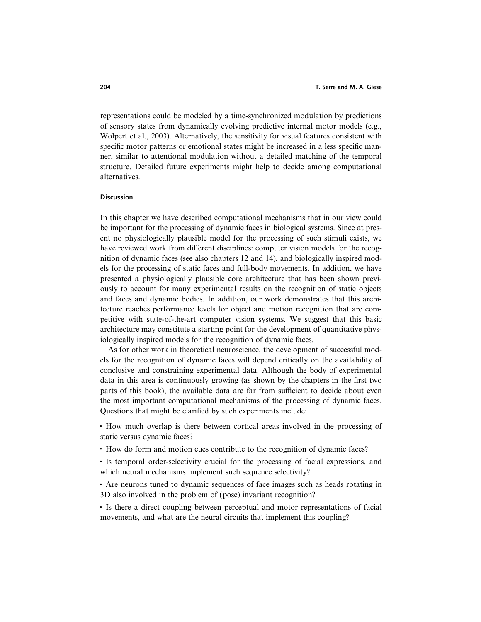representations could be modeled by a time-synchronized modulation by predictions of sensory states from dynamically evolving predictive internal motor models (e.g., Wolpert et al., 2003). Alternatively, the sensitivity for visual features consistent with specific motor patterns or emotional states might be increased in a less specific manner, similar to attentional modulation without a detailed matching of the temporal structure. Detailed future experiments might help to decide among computational alternatives.

# Discussion

In this chapter we have described computational mechanisms that in our view could be important for the processing of dynamic faces in biological systems. Since at present no physiologically plausible model for the processing of such stimuli exists, we have reviewed work from different disciplines: computer vision models for the recognition of dynamic faces (see also chapters 12 and 14), and biologically inspired models for the processing of static faces and full-body movements. In addition, we have presented a physiologically plausible core architecture that has been shown previously to account for many experimental results on the recognition of static objects and faces and dynamic bodies. In addition, our work demonstrates that this architecture reaches performance levels for object and motion recognition that are competitive with state-of-the-art computer vision systems. We suggest that this basic architecture may constitute a starting point for the development of quantitative physiologically inspired models for the recognition of dynamic faces.

As for other work in theoretical neuroscience, the development of successful models for the recognition of dynamic faces will depend critically on the availability of conclusive and constraining experimental data. Although the body of experimental data in this area is continuously growing (as shown by the chapters in the first two parts of this book), the available data are far from sufficient to decide about even the most important computational mechanisms of the processing of dynamic faces. Questions that might be clarified by such experiments include:

 How much overlap is there between cortical areas involved in the processing of static versus dynamic faces?

How do form and motion cues contribute to the recognition of dynamic faces?

 Is temporal order-selectivity crucial for the processing of facial expressions, and which neural mechanisms implement such sequence selectivity?

 Are neurons tuned to dynamic sequences of face images such as heads rotating in 3D also involved in the problem of (pose) invariant recognition?

 Is there a direct coupling between perceptual and motor representations of facial movements, and what are the neural circuits that implement this coupling?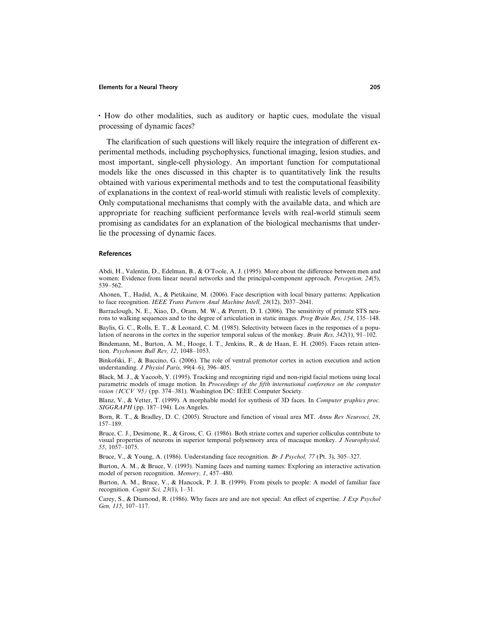How do other modalities, such as auditory or haptic cues, modulate the visual processing of dynamic faces?

The clarification of such questions will likely require the integration of different experimental methods, including psychophysics, functional imaging, lesion studies, and most important, single-cell physiology. An important function for computational models like the ones discussed in this chapter is to quantitatively link the results obtained with various experimental methods and to test the computational feasibility of explanations in the context of real-world stimuli with realistic levels of complexity. Only computational mechanisms that comply with the available data, and which are appropriate for reaching sufficient performance levels with real-world stimuli seem promising as candidates for an explanation of the biological mechanisms that underlie the processing of dynamic faces.

# References

Abdi, H., Valentin, D., Edelman, B., & O'Toole, A. J. (1995). More about the difference between men and women: Evidence from linear neural networks and the principal-component approach. Perception, 24(5), 539–562.

Ahonen, T., Hadid, A., & Pietikaine, M. (2006). Face description with local binary patterns: Application to face recognition. IEEE Trans Pattern Anal Machine Intell, 28(12), 2037–2041.

Barraclough, N. E., Xiao, D., Oram, M. W., & Perrett, D. I. (2006). The sensitivity of primate STS neurons to walking sequences and to the degree of articulation in static images. Prog Brain Res, 154, 135–148.

Baylis, G. C., Rolls, E. T., & Leonard, C. M. (1985). Selectivity between faces in the responses of a population of neurons in the cortex in the superior temporal sulcus of the monkey. Brain Res, 342(1), 91–102.

Bindemann, M., Burton, A. M., Hooge, I. T., Jenkins, R., & de Haan, E. H. (2005). Faces retain attention. Psychonom Bull Rev, 12, 1048–1053.

Binkofski, F., & Buccino, G. (2006). The role of ventral premotor cortex in action execution and action understanding. J Physiol Paris, 99(4-6), 396-405.

Black, M. J., & Yacoob, Y. (1995). Tracking and recognizing rigid and non-rigid facial motions using local parametric models of image motion. In Proceedings of the fifth international conference on the computer vision (ICCV '95) (pp. 374-381). Washington DC: IEEE Computer Society.

Blanz, V., & Vetter, T. (1999). A morphable model for synthesis of 3D faces. In Computer graphics proc. SIGGRAPH (pp. 187–194). Los Angeles.

Born, R. T., & Bradley, D. C. (2005). Structure and function of visual area MT. Annu Rev Neurosci, 28, 157–189.

Bruce, C. J., Desimone, R., & Gross, C. G. (1986). Both striate cortex and superior colliculus contribute to visual properties of neurons in superior temporal polysensory area of macaque monkey. J Neurophysiol, 55, 1057–1075.

Bruce, V., & Young, A. (1986). Understanding face recognition. Br J Psychol, 77 (Pt. 3), 305–327.

Burton, A. M., & Bruce, V. (1993). Naming faces and naming names: Exploring an interactive activation model of person recognition. Memory, 1, 457–480.

Burton, A. M., Bruce, V., & Hancock, P. J. B. (1999). From pixels to people: A model of familiar face recognition. Cognit Sci, 23(1), 1–31.

Carey, S., & Diamond, R. (1986). Why faces are and are not special: An effect of expertise. J Exp Psychol Gen, 115, 107–117.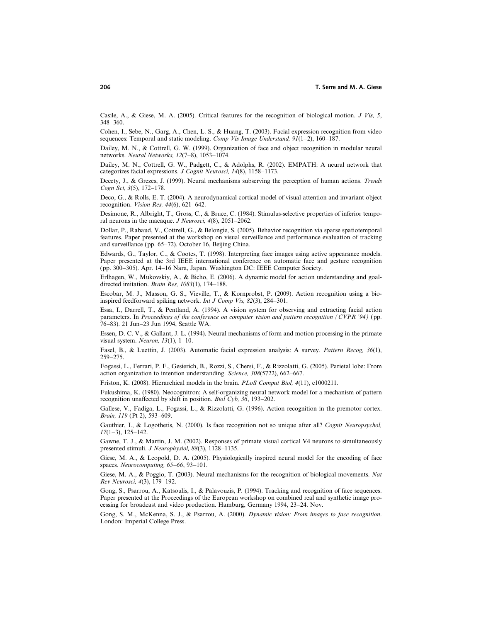Casile, A., & Giese, M. A. (2005). Critical features for the recognition of biological motion. J Vis, 5, 348–360.

Cohen, I., Sebe, N., Garg, A., Chen, L. S., & Huang, T. (2003). Facial expression recognition from video sequences: Temporal and static modeling. Comp Vis Image Understand,  $91(1-2)$ , 160-187.

Dailey, M. N., & Cottrell, G. W. (1999). Organization of face and object recognition in modular neural networks. Neural Networks, 12(7–8), 1053–1074.

Dailey, M. N., Cottrell, G. W., Padgett, C., & Adolphs, R. (2002). EMPATH: A neural network that categorizes facial expressions. J Cognit Neurosci, 14(8), 1158–1173.

Decety, J., & Grezes, J. (1999). Neural mechanisms subserving the perception of human actions. Trends Cogn Sci, 3(5), 172–178.

Deco, G., & Rolls, E. T. (2004). A neurodynamical cortical model of visual attention and invariant object recognition. Vision Res, 44(6), 621–642.

Desimone, R., Albright, T., Gross, C., & Bruce, C. (1984). Stimulus-selective properties of inferior temporal neurons in the macaque. J Neurosci, 4(8), 2051–2062.

Dollar, P., Rabaud, V., Cottrell, G., & Belongie, S. (2005). Behavior recognition via sparse spatiotemporal features. Paper presented at the workshop on visual surveillance and performance evaluation of tracking and surveillance (pp. 65–72). October 16, Beijing China.

Edwards, G., Taylor, C., & Cootes, T. (1998). Interpreting face images using active appearance models. Paper presented at the 3rd IEEE international conference on automatic face and gesture recognition (pp. 300–305). Apr. 14–16 Nara, Japan. Washington DC: IEEE Computer Society.

Erlhagen, W., Mukovskiy, A., & Bicho, E. (2006). A dynamic model for action understanding and goaldirected imitation. Brain Res, 1083(1), 174–188.

Escobar, M. J., Masson, G. S., Vieville, T., & Kornprobst, P. (2009). Action recognition using a bioinspired feedforward spiking network. Int J Comp Vis, 82(3), 284–301.

Essa, I., Darrell, T., & Pentland, A. (1994). A vision system for observing and extracting facial action parameters. In Proceedings of the conference on computer vision and pattern recognition (CVPR '94) (pp. 76–83). 21 Jun–23 Jun 1994, Seattle WA.

Essen, D. C. V., & Gallant, J. L. (1994). Neural mechanisms of form and motion processing in the primate visual system. Neuron, 13(1), 1–10.

Fasel, B., & Luettin, J. (2003). Automatic facial expression analysis: A survey. Pattern Recog, 36(1), 259–275.

Fogassi, L., Ferrari, P. F., Gesierich, B., Rozzi, S., Chersi, F., & Rizzolatti, G. (2005). Parietal lobe: From action organization to intention understanding. Science, 308(5722), 662–667.

Friston, K. (2008). Hierarchical models in the brain. PLoS Comput Biol, 4(11), e1000211.

Fukushima, K. (1980). Neocognitron: A self-organizing neural network model for a mechanism of pattern recognition unaffected by shift in position. Biol Cyb, 36, 193-202.

Gallese, V., Fadiga, L., Fogassi, L., & Rizzolatti, G. (1996). Action recognition in the premotor cortex. Brain, 119 (Pt 2), 593–609.

Gauthier, I., & Logothetis, N. (2000). Is face recognition not so unique after all? Cognit Neuropsychol,  $17(1-3)$ ,  $125-142$ .

Gawne, T. J., & Martin, J. M. (2002). Responses of primate visual cortical V4 neurons to simultaneously presented stimuli. J Neurophysiol, 88(3), 1128–1135.

Giese, M. A., & Leopold, D. A. (2005). Physiologically inspired neural model for the encoding of face spaces. Neurocomputing, 65–66, 93–101.

Giese, M. A., & Poggio, T. (2003). Neural mechanisms for the recognition of biological movements. Nat Rev Neurosci, 4(3), 179–192.

Gong, S., Psarrou, A., Katsoulis, I., & Palavouzis, P. (1994). Tracking and recognition of face sequences. Paper presented at the Proceedings of the European workshop on combined real and synthetic image processing for broadcast and video production. Hamburg, Germany 1994, 23–24. Nov.

Gong, S. M., McKenna, S. J., & Psarrou, A. (2000). Dynamic vision: From images to face recognition. London: Imperial College Press.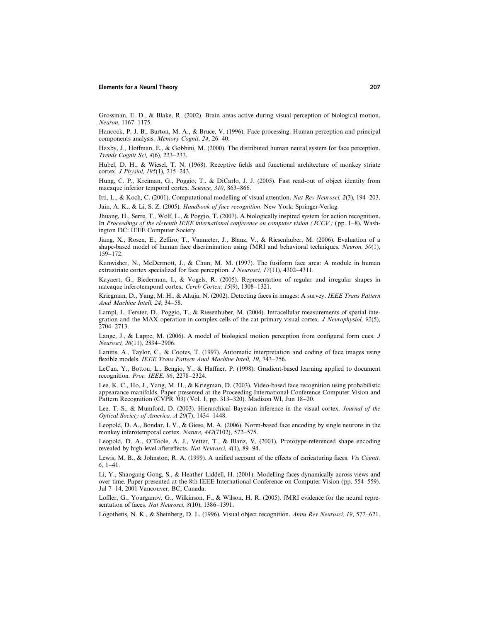Grossman, E. D., & Blake, R. (2002). Brain areas active during visual perception of biological motion. Neuron, 1167–1175.

Hancock, P. J. B., Burton, M. A., & Bruce, V. (1996). Face processing: Human perception and principal components analysis. Memory Cognit, 24, 26–40.

Haxby, J., Hoffman, E., & Gobbini, M. (2000). The distributed human neural system for face perception. Trends Cognit Sci, 4(6), 223–233.

Hubel, D. H., & Wiesel, T. N. (1968). Receptive fields and functional architecture of monkey striate cortex. J Physiol, 195(1), 215–243.

Hung, C. P., Kreiman, G., Poggio, T., & DiCarlo, J. J. (2005). Fast read-out of object identity from macaque inferior temporal cortex. Science, 310, 863–866.

Itti, L., & Koch, C. (2001). Computational modelling of visual attention. Nat Rev Neurosci, 2(3), 194–203. Jain, A. K., & Li, S. Z. (2005). Handbook of face recognition. New York: Springer-Verlag.

Jhuang, H., Serre, T., Wolf, L., & Poggio, T. (2007). A biologically inspired system for action recognition. In Proceedings of the eleventh IEEE international conference on computer vision (ICCV) (pp. 1–8). Washington DC: IEEE Computer Society.

Jiang, X., Rosen, E., Zeffiro, T., Vanmeter, J., Blanz, V., & Riesenhuber, M. (2006). Evaluation of a shape-based model of human face discrimination using fMRI and behavioral techniques. Neuron, 50(1), 159–172.

Kanwisher, N., McDermott, J., & Chun, M. M. (1997). The fusiform face area: A module in human extrastriate cortex specialized for face perception. J Neurosci, 17(11), 4302–4311.

Kayaert, G., Biederman, I., & Vogels, R. (2005). Representation of regular and irregular shapes in macaque inferotemporal cortex. Cereb Cortex, 15(9), 1308–1321.

Kriegman, D., Yang, M. H., & Ahuja, N. (2002). Detecting faces in images: A survey. IEEE Trans Pattern Anal Machine Intell, 24, 34–58.

Lampl, I., Ferster, D., Poggio, T., & Riesenhuber, M. (2004). Intracellular measurements of spatial integration and the MAX operation in complex cells of the cat primary visual cortex. J Neurophysiol, 92(5), 2704–2713.

Lange, J., & Lappe, M. (2006). A model of biological motion perception from configural form cues. J Neurosci, 26(11), 2894–2906.

Lanitis, A., Taylor, C., & Cootes, T. (1997). Automatic interpretation and coding of face images using flexible models. IEEE Trans Pattern Anal Machine Intell, 19, 743–756.

LeCun, Y., Bottou, L., Bengio, Y., & Haffner, P. (1998). Gradient-based learning applied to document recognition. Proc. IEEE, 86, 2278–2324.

Lee, K. C., Ho, J., Yang, M. H., & Kriegman, D. (2003). Video-based face recognition using probabilistic appearance manifolds. Paper presented at the Proceeding International Conference Computer Vision and Pattern Recognition (CVPR '03) (Vol. 1, pp. 313–320). Madison WI, Jun 18–20.

Lee, T. S., & Mumford, D. (2003). Hierarchical Bayesian inference in the visual cortex. Journal of the Optical Society of America, A 20(7), 1434–1448.

Leopold, D. A., Bondar, I. V., & Giese, M. A. (2006). Norm-based face encoding by single neurons in the monkey inferotemporal cortex. Nature, 442(7102), 572–575.

Leopold, D. A., O'Toole, A. J., Vetter, T., & Blanz, V. (2001). Prototype-referenced shape encoding revealed by high-level aftereffects. Nat Neurosci, 4(1), 89-94.

Lewis, M. B., & Johnston, R. A. (1999). A unified account of the effects of caricaturing faces. Vis Cognit, 6, 1–41.

Li, Y., Shaogang Gong, S., & Heather Liddell, H. (2001). Modelling faces dynamically across views and over time. Paper presented at the 8th IEEE International Conference on Computer Vision (pp. 554–559). Jul 7–14, 2001 Vancouver, BC, Canada.

Loffler, G., Yourganov, G., Wilkinson, F., & Wilson, H. R. (2005). fMRI evidence for the neural representation of faces. Nat Neurosci, 8(10), 1386-1391.

Logothetis, N. K., & Sheinberg, D. L. (1996). Visual object recognition. Annu Rev Neurosci, 19, 577–621.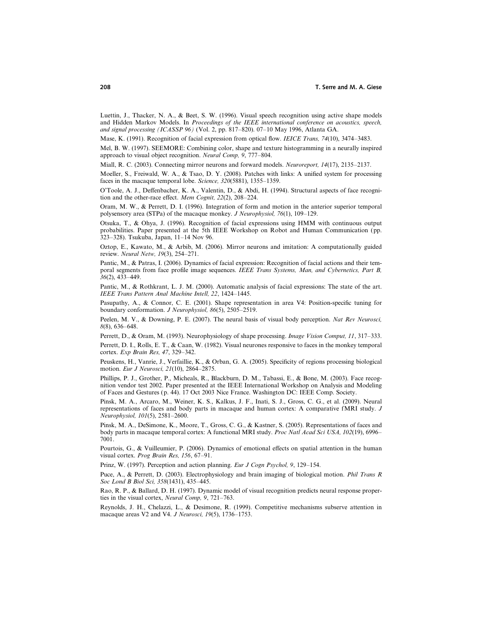#### 208 T. Serre and M. A. Giese

Luettin, J., Thacker, N. A., & Beet, S. W. (1996). Visual speech recognition using active shape models and Hidden Markov Models. In Proceedings of the IEEE international conference on acoustics, speech, and signal processing (ICASSP 96) (Vol. 2, pp. 817–820). 07–10 May 1996, Atlanta GA.

Mase, K. (1991). Recognition of facial expression from optical flow. IEICE Trans, 74(10), 3474-3483.

Mel, B. W. (1997). SEEMORE: Combining color, shape and texture histogramming in a neurally inspired approach to visual object recognition. Neural Comp, 9, 777–804.

Miall, R. C. (2003). Connecting mirror neurons and forward models. Neuroreport, 14(17), 2135–2137.

Moeller, S., Freiwald, W. A., & Tsao, D. Y. (2008). Patches with links: A unified system for processing faces in the macaque temporal lobe. Science, 320(5881), 1355–1359.

O'Toole, A. J., Deffenbacher, K. A., Valentin, D., & Abdi, H. (1994). Structural aspects of face recognition and the other-race effect. Mem Cognit, 22(2), 208-224.

Oram, M. W., & Perrett, D. I. (1996). Integration of form and motion in the anterior superior temporal polysensory area (STPa) of the macaque monkey. J Neurophysiol, 76(1), 109–129.

Otsuka, T., & Ohya, J. (1996). Recognition of facial expressions using HMM with continuous output probabilities. Paper presented at the 5th IEEE Workshop on Robot and Human Communication (pp. 323–328). Tsukuba, Japan, 11–14 Nov 96.

Oztop, E., Kawato, M., & Arbib, M. (2006). Mirror neurons and imitation: A computationally guided review. Neural Netw, 19(3), 254–271.

Pantic, M., & Patras, I. (2006). Dynamics of facial expression: Recognition of facial actions and their temporal segments from face profile image sequences. IEEE Trans Systems, Man, and Cybernetics, Part B, 36(2), 433–449.

Pantic, M., & Rothkrant, L. J. M. (2000). Automatic analysis of facial expressions: The state of the art. IEEE Trans Pattern Anal Machine Intell, 22, 1424–1445.

Pasupathy, A., & Connor, C. E. (2001). Shape representation in area V4: Position-specific tuning for boundary conformation. J Neurophysiol, 86(5), 2505–2519.

Peelen, M. V., & Downing, P. E. (2007). The neural basis of visual body perception. Nat Rev Neurosci, 8(8), 636–648.

Perrett, D., & Oram, M. (1993). Neurophysiology of shape processing. Image Vision Comput, 11, 317–333.

Perrett, D. I., Rolls, E. T., & Caan, W. (1982). Visual neurones responsive to faces in the monkey temporal cortex. Exp Brain Res, 47, 329–342.

Peuskens, H., Vanrie, J., Verfaillie, K., & Orban, G. A. (2005). Specificity of regions processing biological motion. Eur J Neurosci, 21(10), 2864–2875.

Phillips, P. J., Grother, P., Micheals, R., Blackburn, D. M., Tabassi, E., & Bone, M. (2003). Face recognition vendor test 2002. Paper presented at the IEEE International Workshop on Analysis and Modeling of Faces and Gestures (p. 44). 17 Oct 2003 Nice France. Washington DC: IEEE Comp. Society.

Pinsk, M. A., Arcaro, M., Weiner, K. S., Kalkus, J. F., Inati, S. J., Gross, C. G., et al. (2009). Neural representations of faces and body parts in macaque and human cortex: A comparative fMRI study. J Neurophysiol, 101(5), 2581–2600.

Pinsk, M. A., DeSimone, K., Moore, T., Gross, C. G., & Kastner, S. (2005). Representations of faces and body parts in macaque temporal cortex: A functional MRI study. Proc Natl Acad Sci USA, 102(19), 6996-7001.

Pourtois, G., & Vuilleumier, P. (2006). Dynamics of emotional effects on spatial attention in the human visual cortex. Prog Brain Res, 156, 67–91.

Prinz, W. (1997). Perception and action planning. Eur J Cogn Psychol, 9, 129-154.

Puce, A., & Perrett, D. (2003). Electrophysiology and brain imaging of biological motion. *Phil Trans R* Soc Lond B Biol Sci, 358(1431), 435–445.

Rao, R. P., & Ballard, D. H. (1997). Dynamic model of visual recognition predicts neural response properties in the visual cortex, Neural Comp, 9, 721–763.

Reynolds, J. H., Chelazzi, L., & Desimone, R. (1999). Competitive mechanisms subserve attention in macaque areas V2 and V4. J Neurosci, 19(5), 1736–1753.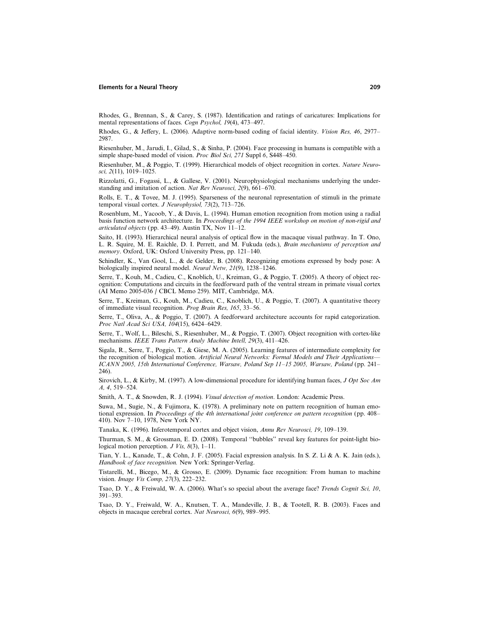Rhodes, G., Brennan, S., & Carey, S. (1987). Identification and ratings of caricatures: Implications for mental representations of faces. Cogn Psychol, 19(4), 473–497.

Rhodes, G., & Jeffery, L. (2006). Adaptive norm-based coding of facial identity. Vision Res, 46, 2977-2987.

Riesenhuber, M., Jarudi, I., Gilad, S., & Sinha, P. (2004). Face processing in humans is compatible with a simple shape-based model of vision. Proc Biol Sci, 271 Suppl 6, S448-450.

Riesenhuber, M., & Poggio, T. (1999). Hierarchical models of object recognition in cortex. Nature Neurosci, 2(11), 1019–1025.

Rizzolatti, G., Fogassi, L., & Gallese, V. (2001). Neurophysiological mechanisms underlying the understanding and imitation of action. Nat Rev Neurosci, 2(9), 661–670.

Rolls, E. T., & Tovee, M. J. (1995). Sparseness of the neuronal representation of stimuli in the primate temporal visual cortex. J Neurophysiol, 73(2), 713–726.

Rosenblum, M., Yacoob, Y., & Davis, L. (1994). Human emotion recognition from motion using a radial basis function network architecture. In Proceedings of the 1994 IEEE workshop on motion of non-rigid and articulated objects (pp. 43-49). Austin TX, Nov  $11-12$ .

Saito, H. (1993). Hierarchical neural analysis of optical flow in the macaque visual pathway. In T. Ono, L. R. Squire, M. E. Raichle, D. I. Perrett, and M. Fukuda (eds.), Brain mechanisms of perception and memory. Oxford, UK: Oxford University Press, pp. 121–140.

Schindler, K., Van Gool, L., & de Gelder, B. (2008). Recognizing emotions expressed by body pose: A biologically inspired neural model. Neural Netw, 21(9), 1238-1246.

Serre, T., Kouh, M., Cadieu, C., Knoblich, U., Kreiman, G., & Poggio, T. (2005). A theory of object recognition: Computations and circuits in the feedforward path of the ventral stream in primate visual cortex (AI Memo 2005-036 / CBCL Memo 259). MIT, Cambridge, MA.

Serre, T., Kreiman, G., Kouh, M., Cadieu, C., Knoblich, U., & Poggio, T. (2007). A quantitative theory of immediate visual recognition. Prog Brain Res, 165, 33–56.

Serre, T., Oliva, A., & Poggio, T. (2007). A feedforward architecture accounts for rapid categorization. Proc Natl Acad Sci USA, 104(15), 6424–6429.

Serre, T., Wolf, L., Bileschi, S., Riesenhuber, M., & Poggio, T. (2007). Object recognition with cortex-like mechanisms. IEEE Trans Pattern Analy Machine Intell, 29(3), 411–426.

Sigala, R., Serre, T., Poggio, T., & Giese, M. A. (2005). Learning features of intermediate complexity for the recognition of biological motion. Artificial Neural Networks: Formal Models and Their Applications-ICANN 2005, 15th International Conference, Warsaw, Poland Sep 11–15 2005, Warsaw, Poland (pp. 241– 246).

Sirovich, L., & Kirby, M. (1997). A low-dimensional procedure for identifying human faces, J Opt Soc Am A, 4, 519–524.

Smith, A. T., & Snowden, R. J. (1994). Visual detection of motion. London: Academic Press.

Suwa, M., Sugie, N., & Fujimora, K. (1978). A preliminary note on pattern recognition of human emotional expression. In Proceedings of the 4th international joint conference on pattern recognition (pp. 408– 410). Nov 7–10, 1978, New York NY.

Tanaka, K. (1996). Inferotemporal cortex and object vision, Annu Rev Neurosci, 19, 109–139.

Thurman, S. M., & Grossman, E. D. (2008). Temporal ''bubbles'' reveal key features for point-light biological motion perception. *J Vis*,  $8(3)$ , 1–11.

Tian, Y. L., Kanade, T., & Cohn, J. F. (2005). Facial expression analysis. In S. Z. Li & A. K. Jain (eds.), Handbook of face recognition. New York: Springer-Verlag.

Tistarelli, M., Bicego, M., & Grosso, E. (2009). Dynamic face recognition: From human to machine vision. Image Vis Comp, 27(3), 222–232.

Tsao, D. Y., & Freiwald, W. A. (2006). What's so special about the average face? Trends Cognit Sci, 10, 391–393.

Tsao, D. Y., Freiwald, W. A., Knutsen, T. A., Mandeville, J. B., & Tootell, R. B. (2003). Faces and objects in macaque cerebral cortex. Nat Neurosci, 6(9), 989–995.